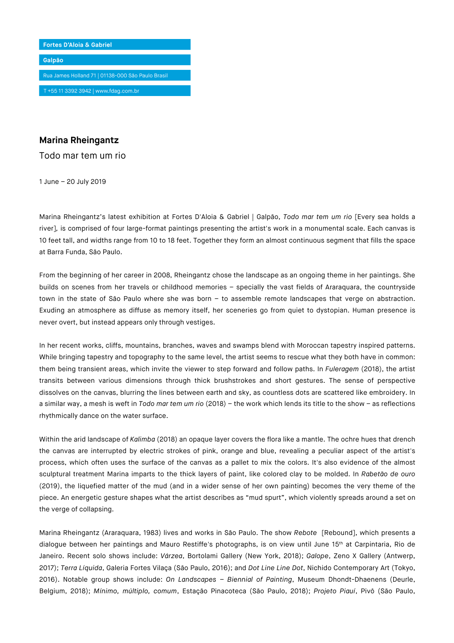

## **Marina Rheingantz**

Todo mar tem um rio

1 June – 20 July 2019

Marina Rheingantz's latest exhibition at Fortes D'Aloia & Gabriel | Galpão, *Todo mar tem um rio* [Every sea holds a river]*,* is comprised of four large-format paintings presenting the artist's work in a monumental scale. Each canvas is 10 feet tall, and widths range from 10 to 18 feet. Together they form an almost continuous segment that fills the space at Barra Funda, São Paulo.

From the beginning of her career in 2008, Rheingantz chose the landscape as an ongoing theme in her paintings. She builds on scenes from her travels or childhood memories – specially the vast fields of Araraquara, the countryside town in the state of São Paulo where she was born – to assemble remote landscapes that verge on abstraction. Exuding an atmosphere as diffuse as memory itself, her sceneries go from quiet to dystopian. Human presence is never overt, but instead appears only through vestiges.

In her recent works, cliffs, mountains, branches, waves and swamps blend with Moroccan tapestry inspired patterns. While bringing tapestry and topography to the same level, the artist seems to rescue what they both have in common: them being transient areas, which invite the viewer to step forward and follow paths. In *Fuleragem* (2018), the artist transits between various dimensions through thick brushstrokes and short gestures. The sense of perspective dissolves on the canvas, blurring the lines between earth and sky, as countless dots are scattered like embroidery. In a similar way, a mesh is weft in *Todo mar tem um rio* (2018) – the work which lends its title to the show – as reflections rhythmically dance on the water surface.

Within the arid landscape of *Kalimba* (2018) an opaque layer covers the flora like a mantle. The ochre hues that drench the canvas are interrupted by electric strokes of pink, orange and blue, revealing a peculiar aspect of the artist's process, which often uses the surface of the canvas as a pallet to mix the colors. It's also evidence of the almost sculptural treatment Marina imparts to the thick layers of paint, like colored clay to be molded. In *Rabetão de ouro* (2019), the liquefied matter of the mud (and in a wider sense of her own painting) becomes the very theme of the piece. An energetic gesture shapes what the artist describes as "mud spurt", which violently spreads around a set on the verge of collapsing.

Marina Rheingantz (Araraquara, 1983) lives and works in São Paulo. The show *Rebote* [Rebound], which presents a dialogue between her paintings and Mauro Restiffe's photographs, is on view until June 15<sup>th</sup> at Carpintaria, Rio de Janeiro. Recent solo shows include: *Várzea*, Bortolami Gallery (New York, 2018); *Galope*, Zeno X Gallery (Antwerp, 2017); *Terra Líquida*, Galeria Fortes Vilaça (São Paulo, 2016); and *Dot Line Line Dot*, Nichido Contemporary Art (Tokyo, 2016). Notable group shows include: *On Landscapes – Biennial of Painting*, Museum Dhondt-Dhaenens (Deurle, Belgium, 2018); *Mínimo, múltiplo, comum*, Estação Pinacoteca (São Paulo, 2018); *Projeto Piauí*, Pivô (São Paulo,